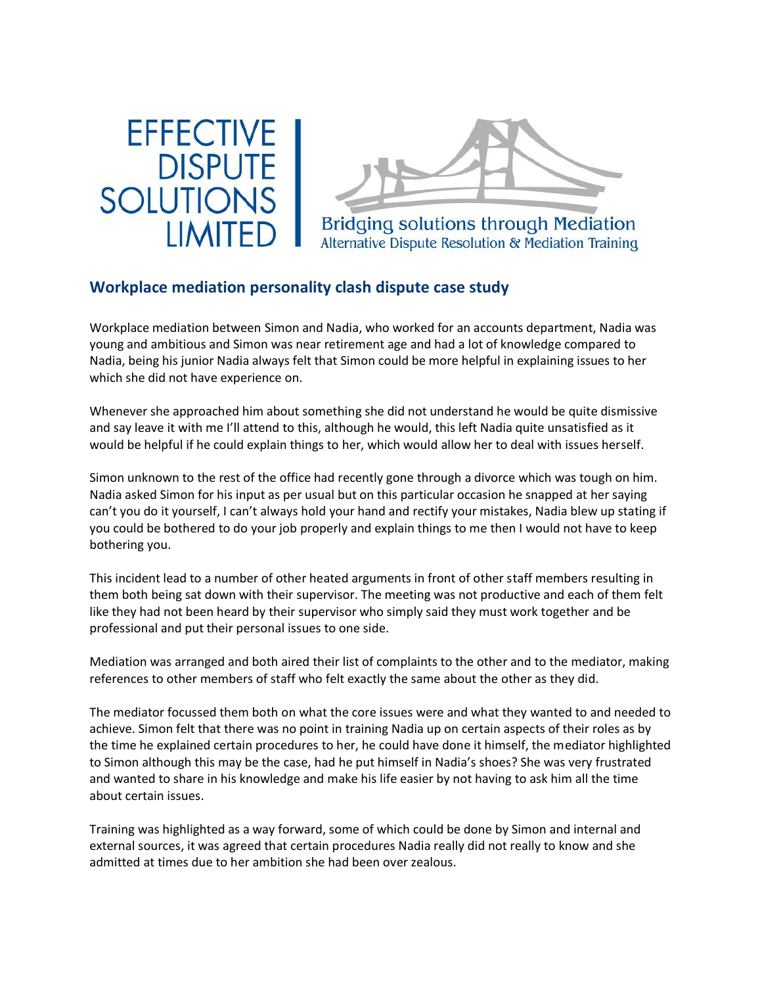



## **Workplace mediation [personality](http://176.32.230.12/effectivedisputesolutions.co.uk/mediation-casestudies-details.html?CSID=50) clash dispute case study**

Workplace mediation between Simon and Nadia, who worked for an accounts department, Nadia was young and ambitious and Simon was near retirement age and had a lot of knowledge compared to Nadia, being his junior Nadia always felt that Simon could be more helpful in explaining issues to her which she did not have experience on.

Whenever she approached him about something she did not understand he would be quite dismissive and say leave it with me I'll attend to this, although he would, this left Nadia quite unsatisfied as it would be helpful if he could explain things to her, which would allow her to deal with issues herself.

Simon unknown to the rest of the office had recently gone through a divorce which was tough on him. Nadia asked Simon for his input as per usual but on this particular occasion he snapped at her saying can't you do it yourself, I can't always hold your hand and rectify your mistakes, Nadia blew up stating if you could be bothered to do your job properly and explain things to me then I would not have to keep bothering you.

This incident lead to a number of other heated arguments in front of other staff members resulting in them both being sat down with their supervisor. The meeting was not productive and each of them felt like they had not been heard by their supervisor who simply said they must work together and be professional and put their personal issues to one side.

Mediation was arranged and both aired their list of complaints to the other and to the mediator, making references to other members of staff who felt exactly the same about the other as they did.

The mediator focussed them both on what the core issues were and what they wanted to and needed to achieve. Simon felt that there was no point in training Nadia up on certain aspects of their roles as by the time he explained certain procedures to her, he could have done it himself, the mediator highlighted to Simon although this may be the case, had he put himself in Nadia's shoes? She was very frustrated and wanted to share in his knowledge and make his life easier by not having to ask him all the time about certain issues.

Training was highlighted as a way forward, some of which could be done by Simon and internal and external sources, it was agreed that certain procedures Nadia really did not really to know and she admitted at times due to her ambition she had been over zealous.